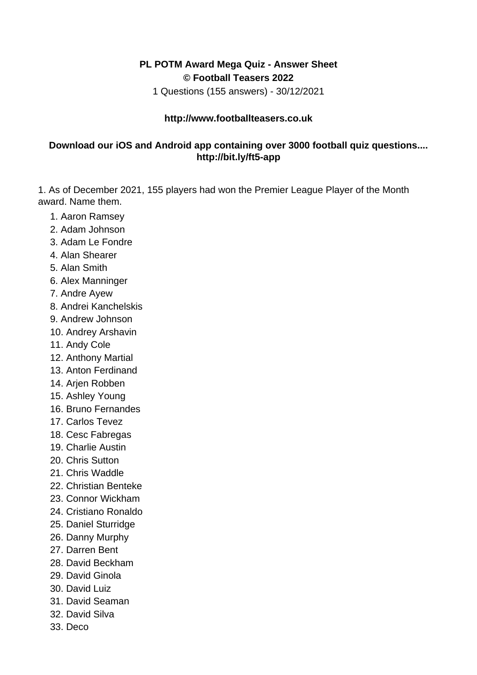## **PL POTM Award Mega Quiz - Answer Sheet © Football Teasers 2022**

1 Questions (155 answers) - 30/12/2021

## **http://www.footballteasers.co.uk**

## **Download our iOS and Android app containing over 3000 football quiz questions.... http://bit.ly/ft5-app**

1. As of December 2021, 155 players had won the Premier League Player of the Month award. Name them.

- 1. Aaron Ramsey
- 2. Adam Johnson
- 3. Adam Le Fondre
- 4. Alan Shearer
- 5. Alan Smith
- 6. Alex Manninger
- 7. Andre Ayew
- 8. Andrei Kanchelskis
- 9. Andrew Johnson
- 10. Andrey Arshavin
- 11. Andy Cole
- 12. Anthony Martial
- 13. Anton Ferdinand
- 14. Arjen Robben
- 15. Ashley Young
- 16. Bruno Fernandes
- 17. Carlos Tevez
- 18. Cesc Fabregas
- 19. Charlie Austin
- 20. Chris Sutton
- 21. Chris Waddle
- 22. Christian Benteke
- 23. Connor Wickham
- 24. Cristiano Ronaldo
- 25. Daniel Sturridge
- 26. Danny Murphy
- 27. Darren Bent
- 28. David Beckham
- 29. David Ginola
- 30. David Luiz
- 31. David Seaman
- 32. David Silva
- 33. Deco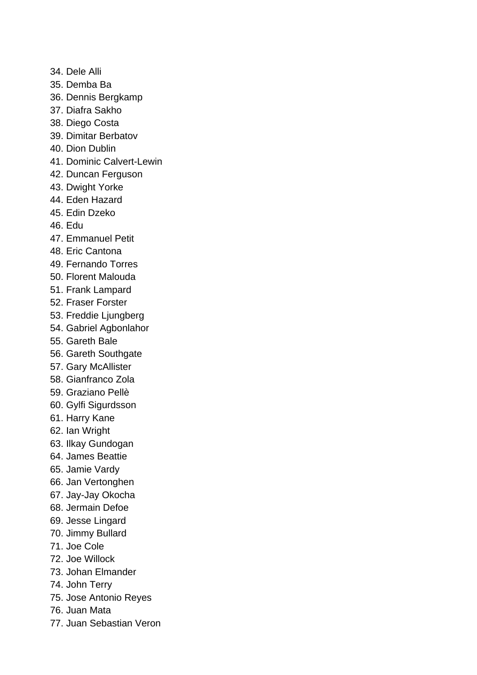- 34. Dele Alli
- 35. Demba Ba
- 36. Dennis Bergkamp
- 37. Diafra Sakho
- 38. Diego Costa
- 39. Dimitar Berbatov
- 40. Dion Dublin
- 41. Dominic Calvert-Lewin
- 42. Duncan Ferguson
- 43. Dwight Yorke
- 44. Eden Hazard
- 45. Edin Dzeko
- 46. Edu
- 47. Emmanuel Petit
- 48. Eric Cantona
- 49. Fernando Torres
- 50. Florent Malouda
- 51. Frank Lampard
- 52. Fraser Forster
- 53. Freddie Ljungberg
- 54. Gabriel Agbonlahor
- 55. Gareth Bale
- 56. Gareth Southgate
- 57. Gary McAllister
- 58. Gianfranco Zola
- 59. Graziano Pellè
- 60. Gylfi Sigurdsson
- 61. Harry Kane
- 62. Ian Wright
- 63. Ilkay Gundogan
- 64. James Beattie
- 65. Jamie Vardy
- 66. Jan Vertonghen
- 67. Jay-Jay Okocha
- 68. Jermain Defoe
- 69. Jesse Lingard
- 70. Jimmy Bullard
- 71. Joe Cole
- 72. Joe Willock
- 73. Johan Elmander
- 74. John Terry
- 75. Jose Antonio Reyes
- 76. Juan Mata
- 77. Juan Sebastian Veron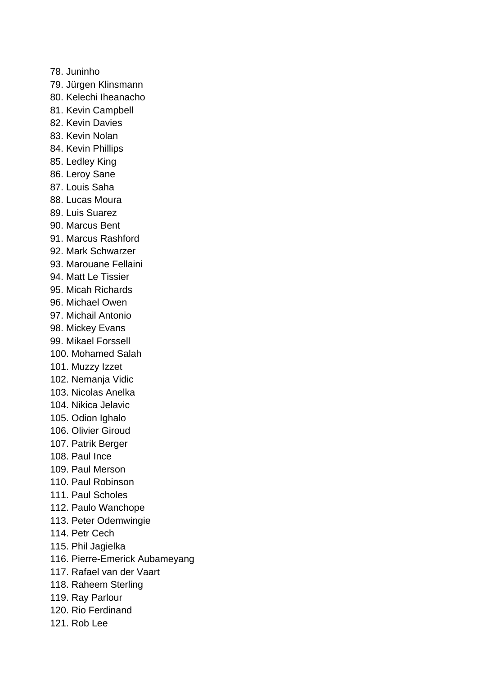78. Juninho 79. Jürgen Klinsmann 80. Kelechi Iheanacho 81. Kevin Campbell 82. Kevin Davies 83. Kevin Nolan 84. Kevin Phillips 85. Ledley King 86. Leroy Sane 87. Louis Saha 88. Lucas Moura 89. Luis Suarez 90. Marcus Bent 91. Marcus Rashford 92. Mark Schwarzer 93. Marouane Fellaini 94. Matt Le Tissier 95. Micah Richards 96. Michael Owen 97. Michail Antonio 98. Mickey Evans 99. Mikael Forssell 100. Mohamed Salah 101. Muzzy Izzet 102. Nemanja Vidic 103. Nicolas Anelka 104. Nikica Jelavic 105. Odion Ighalo 106. Olivier Giroud 107. Patrik Berger 108. Paul Ince 109. Paul Merson 110. Paul Robinson 111. Paul Scholes 112. Paulo Wanchope 113. Peter Odemwingie 114. Petr Cech 115. Phil Jagielka 116. Pierre-Emerick Aubameyang 117. Rafael van der Vaart 118. Raheem Sterling 119. Ray Parlour 120. Rio Ferdinand 121. Rob Lee